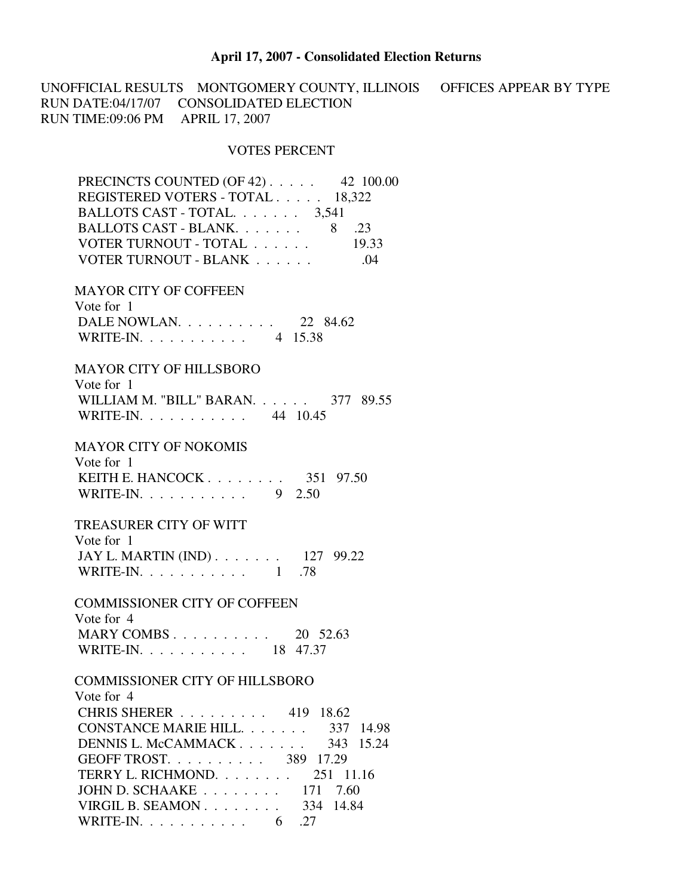## **April 17, 2007 - Consolidated Election Returns**

UNOFFICIAL RESULTS MONTGOMERY COUNTY, ILLINOIS OFFICES APPEAR BY TYPE RUN DATE:04/17/07 CONSOLIDATED ELECTION RUN TIME:09:06 PM APRIL 17, 2007

## VOTES PERCENT

| PRECINCTS COUNTED (OF 42) 42 100.00                |
|----------------------------------------------------|
| REGISTERED VOTERS - TOTAL 18,322                   |
| BALLOTS CAST - TOTAL. 3,541                        |
| BALLOTS CAST - BLANK. 8 .23                        |
| VOTER TURNOUT - TOTAL 19.33                        |
| VOTER TURNOUT - BLANK<br>.04                       |
|                                                    |
| <b>MAYOR CITY OF COFFEEN</b>                       |
| Vote for 1                                         |
| DALE NOWLAN 22 84.62                               |
| WRITE-IN. 4 15.38                                  |
|                                                    |
| <b>MAYOR CITY OF HILLSBORO</b>                     |
| Vote for 1                                         |
| WILLIAM M. "BILL" BARAN. 377 89.55                 |
| WRITE-IN. 44 10.45                                 |
|                                                    |
| <b>MAYOR CITY OF NOKOMIS</b>                       |
| Vote for 1                                         |
| KEITH E. HANCOCK 351 97.50                         |
| WRITE-IN. 9 2.50                                   |
|                                                    |
| <b>TREASURER CITY OF WITT</b>                      |
| Vote for 1                                         |
| JAY L. MARTIN (IND) 127 99.22                      |
| WRITE-IN. $\ldots$ 1 .78                           |
| <b>COMMISSIONER CITY OF COFFEEN</b>                |
| Vote for 4                                         |
| MARY COMBS 20 52.63                                |
| WRITE-IN. 18 47.37                                 |
|                                                    |
| <b>COMMISSIONER CITY OF HILLSBORO</b>              |
| Vote for 4                                         |
| CHRIS SHERER 419 18.62                             |
| CONSTANCE MARIE HILL.<br>337 14.98                 |
| DENNIS L. McCAMMACK<br>343 15.24                   |
| GEOFF TROST. 389 17.29                             |
| TERRY L. RICHMOND.<br>251 11.16                    |
| JOHN D. SCHAAKE $\ldots \ldots \ldots$ 171<br>7.60 |
| VIRGIL B. SEAMON 334 14.84                         |
| WRITE-IN. $\ldots$ $\ldots$ $\ldots$ 6 .27         |
|                                                    |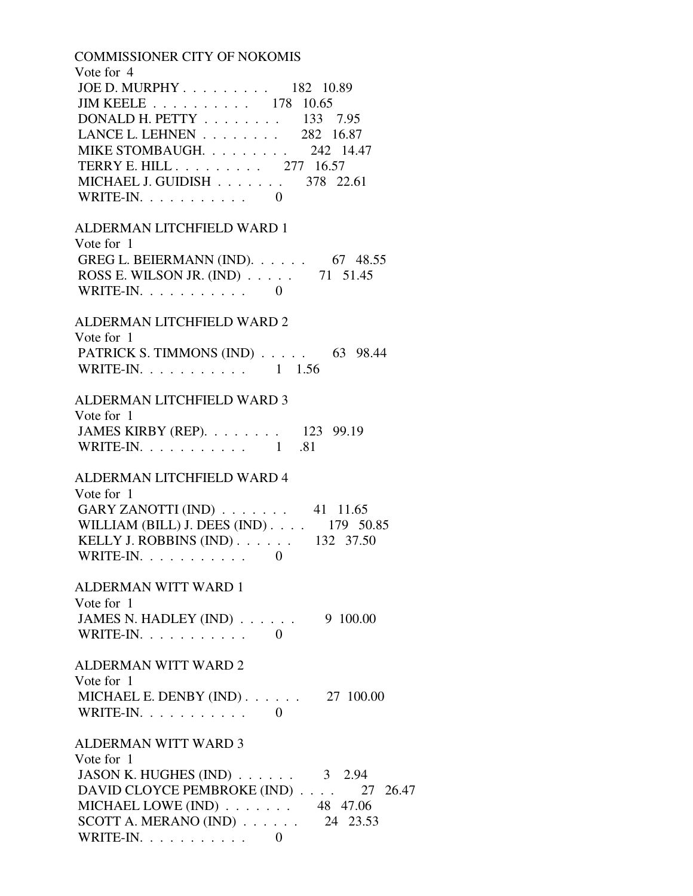COMMISSIONER CITY OF NOKOMIS Vote for 4 JOE D. MURPHY . . . . . . . . . 182 10.89 JIM KEELE . . . . . . . . . . 178 10.65 DONALD H. PETTY . . . . . . . . 133 7.95 LANCE L. LEHNEN . . . . . . . . 282 16.87 MIKE STOMBAUGH. . . . . . . . . 242 14.47 TERRY E. HILL . . . . . . . . . 277 16.57 MICHAEL J. GUIDISH . . . . . . . 378 22.61 WRITE-IN.  $\ldots$  . . . . . . . . 0 ALDERMAN LITCHFIELD WARD 1 Vote for 1 GREG L. BEIERMANN (IND). . . . . . 67 48.55 ROSS E. WILSON JR. (IND) . . . . . 71 51.45 WRITE-IN.  $\ldots$  . . . . . . . . 0 ALDERMAN LITCHFIELD WARD 2 Vote for 1 PATRICK S. TIMMONS (IND)  $\ldots$  . . . . 63 98.44 WRITE-IN. . . . . . . . . . . . 1 1.56 ALDERMAN LITCHFIELD WARD 3 Vote for 1 JAMES KIRBY (REP). . . . . . . . 123 99.19 WRITE-IN. . . . . . . . . . . . 1 .81 ALDERMAN LITCHFIELD WARD 4 Vote for 1 GARY ZANOTTI (IND) . . . . . . . 41 11.65 WILLIAM (BILL) J. DEES (IND) . . . . 179 50.85 KELLY J. ROBBINS (IND) . . . . . . 132 37.50 WRITE-IN. . . . . . . . . . . 0 ALDERMAN WITT WARD 1 Vote for 1 JAMES N. HADLEY (IND) . . . . . . 9 100.00 WRITE-IN. . . . . . . . . . . 0 ALDERMAN WITT WARD 2 Vote for 1 MICHAEL E. DENBY (IND) . . . . . . 27 100.00 WRITE-IN.  $\ldots$  . . . . . . . . 0 ALDERMAN WITT WARD 3 Vote for 1 JASON K. HUGHES (IND) . . . . . . 3 2.94 DAVID CLOYCE PEMBROKE (IND) . . . . 27 26.47 MICHAEL LOWE (IND) . . . . . . . 48 47.06 SCOTT A. MERANO (IND) . . . . . . 24 23.53 WRITE-IN.  $\ldots$  . . . . . . . . 0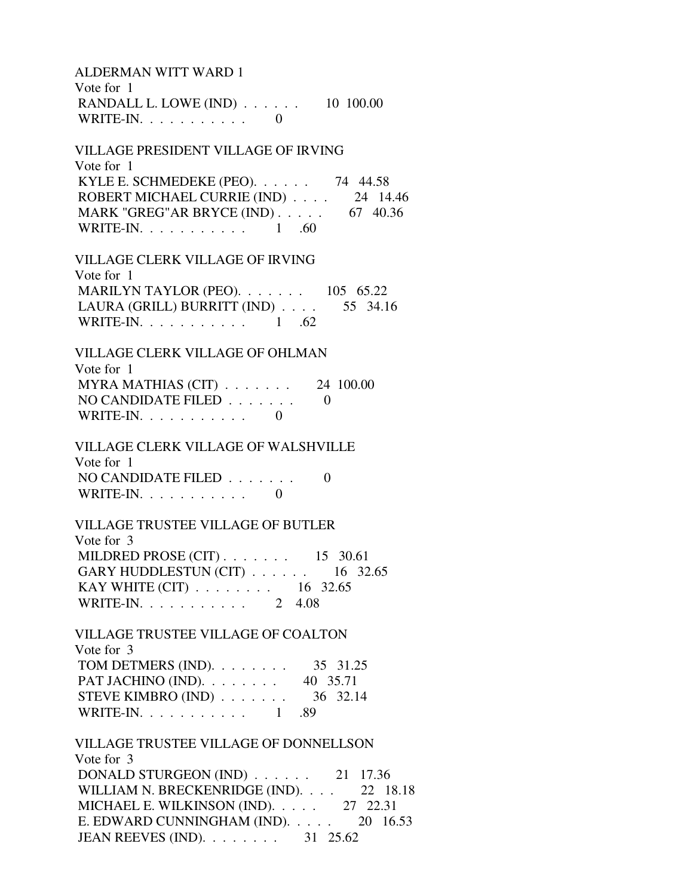ALDERMAN WITT WARD 1 Vote for 1 RANDALL L. LOWE (IND) . . . . . . 10 100.00 WRITE-IN.  $\ldots$  . . . . . . . . 0 VILLAGE PRESIDENT VILLAGE OF IRVING Vote for 1 KYLE E. SCHMEDEKE (PEO). . . . . . 74 44.58 ROBERT MICHAEL CURRIE (IND) . . . . 24 14.46 MARK "GREG"AR BRYCE (IND) . . . . . 67 40.36 WRITE-IN. . . . . . . . . . . . 1 .60 VILLAGE CLERK VILLAGE OF IRVING Vote for 1 MARILYN TAYLOR (PEO). . . . . . . . 105 65.22 LAURA (GRILL) BURRITT (IND)  $\ldots$  55 34.16 WRITE-IN. . . . . . . . . . . . 1 .62 VILLAGE CLERK VILLAGE OF OHLMAN Vote for 1 MYRA MATHIAS (CIT) . . . . . . . 24 100.00 NO CANDIDATE FILED . . . . . . . 0 WRITE-IN.  $\ldots$  . . . . . . . . 0 VILLAGE CLERK VILLAGE OF WALSHVILLE Vote for 1 NO CANDIDATE FILED  $\ldots \ldots \ldots$  0 WRITE-IN.  $\ldots$  . . . . . . . 0 VILLAGE TRUSTEE VILLAGE OF BUTLER Vote for 3 MILDRED PROSE (CIT) . . . . . . . 15 30.61 GARY HUDDLESTUN (CIT)  $\ldots$  . . . . . 16 32.65 KAY WHITE (CIT) . . . . . . . . . 16 32.65 WRITE-IN. . . . . . . . . . . 2 4.08 VILLAGE TRUSTEE VILLAGE OF COALTON Vote for 3 TOM DETMERS (IND). . . . . . . . 35 31.25 PAT JACHINO (IND). . . . . . . . 40 35.71 STEVE KIMBRO (IND) . . . . . . . 36 32.14 WRITE-IN. . . . . . . . . . . . 1 .89 VILLAGE TRUSTEE VILLAGE OF DONNELLSON Vote for 3 DONALD STURGEON (IND) . . . . . . 21 17.36 WILLIAM N. BRECKENRIDGE (IND). . . . 22 18.18 MICHAEL E. WILKINSON (IND). . . . . 27 22.31 E. EDWARD CUNNINGHAM (IND). . . . . 20 16.53 JEAN REEVES (IND). . . . . . . . 31 25.62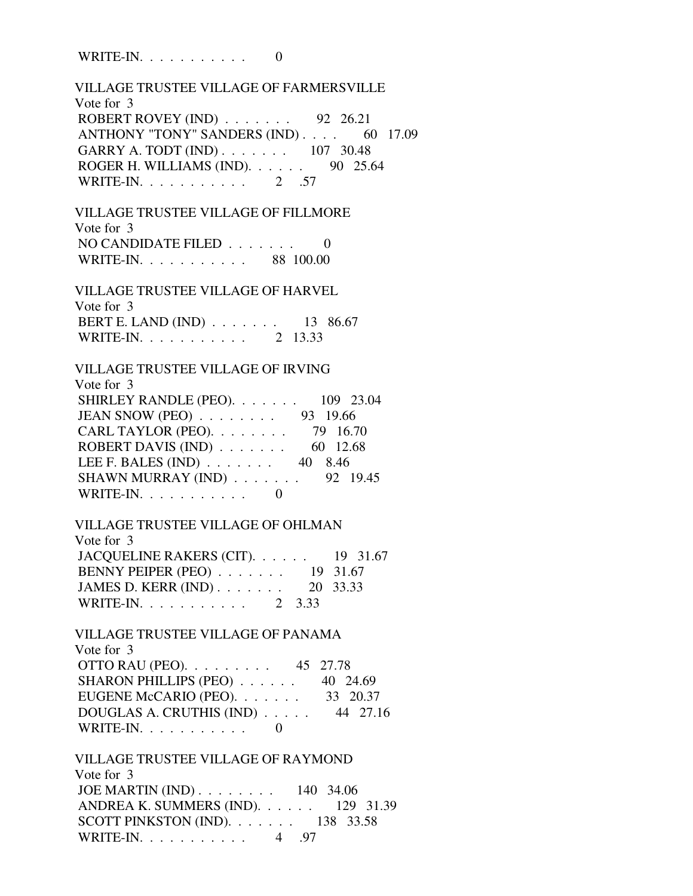WRITE-IN. . . . . . . . . . . 0

 VILLAGE TRUSTEE VILLAGE OF FARMERSVILLE Vote for 3 ROBERT ROVEY (IND) . . . . . . . 92 26.21 ANTHONY "TONY" SANDERS (IND) . . . . 60 17.09 GARRY A. TODT (IND) . . . . . . . 107 30.48 ROGER H. WILLIAMS (IND). . . . . . 90 25.64 WRITE-IN. . . . . . . . . . . . 2 .57 VILLAGE TRUSTEE VILLAGE OF FILLMORE Vote for 3 NO CANDIDATE FILED  $\ldots \ldots$  0 WRITE-IN. . . . . . . . . . . 88 100.00 VILLAGE TRUSTEE VILLAGE OF HARVEL Vote for 3 BERT E. LAND (IND) . . . . . . . 13 86.67 WRITE-IN. . . . . . . . . . . 2 13.33 VILLAGE TRUSTEE VILLAGE OF IRVING Vote for 3 SHIRLEY RANDLE (PEO). . . . . . . 109 23.04 JEAN SNOW (PEO) . . . . . . . . 93 19.66 CARL TAYLOR (PEO). . . . . . . . 79 16.70 ROBERT DAVIS (IND)  $\ldots$  . . . . . . . . 60 12.68 LEE F. BALES (IND) . . . . . . . 40 8.46 SHAWN MURRAY (IND) . . . . . . . 92 19.45 WRITE-IN.  $\ldots$  . . . . . . . 0 VILLAGE TRUSTEE VILLAGE OF OHLMAN Vote for 3 JACQUELINE RAKERS (CIT). . . . . . 19 31.67 BENNY PEIPER (PEO) . . . . . . . 19 31.67 JAMES D. KERR (IND) . . . . . . . 20 33.33 WRITE-IN. . . . . . . . . . . 2 3.33 VILLAGE TRUSTEE VILLAGE OF PANAMA Vote for 3 OTTO RAU (PEO). . . . . . . . . 45 27.78 SHARON PHILLIPS (PEO)  $\ldots$  . . . . . 40 24.69 EUGENE McCARIO (PEO). . . . . . . 33 20.37 DOUGLAS A. CRUTHIS (IND) . . . . . 44 27.16 WRITE-IN.  $\ldots$  . . . . . . . . 0 VILLAGE TRUSTEE VILLAGE OF RAYMOND Vote for 3 JOE MARTIN (IND) . . . . . . . . 140 34.06 ANDREA K. SUMMERS (IND). . . . . . 129 31.39 SCOTT PINKSTON (IND). . . . . . . 138 33.58 WRITE-IN. . . . . . . . . . . 4 .97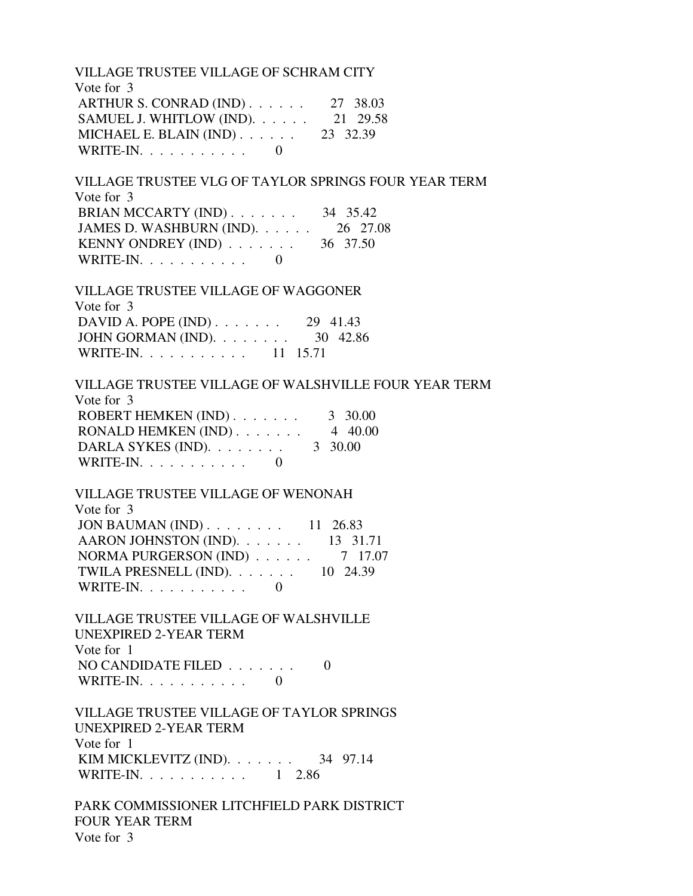VILLAGE TRUSTEE VILLAGE OF SCHRAM CITY Vote for 3 ARTHUR S. CONRAD (IND) . . . . . . 27 38.03 SAMUEL J. WHITLOW (IND). . . . . . . 21 29.58 MICHAEL E. BLAIN (IND) . . . . . . 23 32.39 WRITE-IN.  $\ldots$  . . . . . . . . 0

 VILLAGE TRUSTEE VLG OF TAYLOR SPRINGS FOUR YEAR TERM Vote for 3 BRIAN MCCARTY (IND) . . . . . . . 34 35.42 JAMES D. WASHBURN (IND). . . . . . 26 27.08 KENNY ONDREY (IND) . . . . . . . 36 37.50 WRITE-IN.  $\ldots$  . . . . . . . . 0

 VILLAGE TRUSTEE VILLAGE OF WAGGONER Vote for 3 DAVID A. POPE (IND) . . . . . . . 29 41.43 JOHN GORMAN (IND). . . . . . . . 30 42.86 WRITE-IN. . . . . . . . . . . 11 15.71

 VILLAGE TRUSTEE VILLAGE OF WALSHVILLE FOUR YEAR TERM Vote for 3 ROBERT HEMKEN (IND) . . . . . . . . 3 30.00 RONALD HEMKEN  $(IND)$ ....... 4 40.00 DARLA SYKES (IND). . . . . . . . . 3 30.00

WRITE-IN. . . . . . . . . . . . 0

 VILLAGE TRUSTEE VILLAGE OF WENONAH Vote for 3 JON BAUMAN (IND) . . . . . . . . 11 26.83 AARON JOHNSTON (IND). . . . . . . 13 31.71 NORMA PURGERSON (IND) . . . . . . 7 17.07 TWILA PRESNELL (IND). . . . . . . 10 24.39 WRITE-IN.  $\ldots$  . . . . . . . . 0

 VILLAGE TRUSTEE VILLAGE OF WALSHVILLE UNEXPIRED 2-YEAR TERM Vote for 1 NO CANDIDATE FILED . . . . . . . 0 WRITE-IN.  $\ldots$  . . . . . . . . 0

 VILLAGE TRUSTEE VILLAGE OF TAYLOR SPRINGS UNEXPIRED 2-YEAR TERM Vote for 1 KIM MICKLEVITZ (IND). . . . . . . 34 97.14 WRITE-IN. . . . . . . . . . . . 1 2.86

 PARK COMMISSIONER LITCHFIELD PARK DISTRICT FOUR YEAR TERM Vote for 3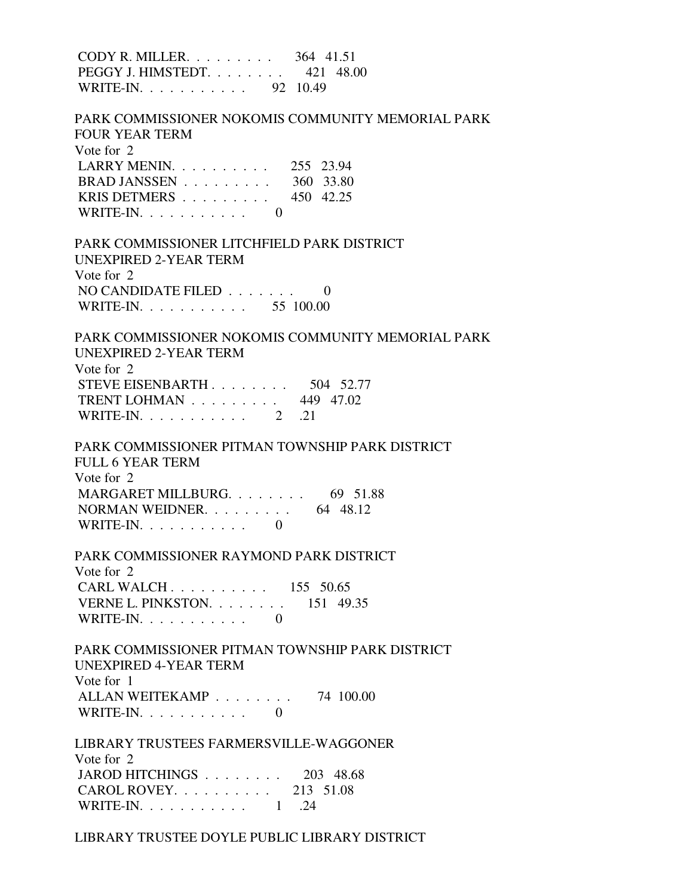CODY R. MILLER. . . . . . . . . 364 41.51 PEGGY J. HIMSTEDT. . . . . . . . 421 48.00 WRITE-IN. . . . . . . . . . . 92 10.49 PARK COMMISSIONER NOKOMIS COMMUNITY MEMORIAL PARK FOUR YEAR TERM Vote for 2 LARRY MENIN. . . . . . . . . . 255 23.94 BRAD JANSSEN . . . . . . . . . 360 33.80 KRIS DETMERS . . . . . . . . . 450 42.25 WRITE-IN.  $\ldots$  . . . . . . . . 0 PARK COMMISSIONER LITCHFIELD PARK DISTRICT UNEXPIRED 2-YEAR TERM Vote for 2 NO CANDIDATE FILED . . . . . . . 0 WRITE-IN. . . . . . . . . . . 55 100.00 PARK COMMISSIONER NOKOMIS COMMUNITY MEMORIAL PARK UNEXPIRED 2-YEAR TERM Vote for 2 STEVE EISENBARTH . . . . . . . . 504 52.77 TRENT LOHMAN . . . . . . . . . 449 47.02 WRITE-IN.  $\ldots$  . . . . . . . . 2 . 21 PARK COMMISSIONER PITMAN TOWNSHIP PARK DISTRICT FULL 6 YEAR TERM Vote for 2 MARGARET MILLBURG. . . . . . . . 69 51.88 NORMAN WEIDNER. . . . . . . . . 64 48.12 WRITE-IN.  $\ldots$  . . . . . . . . 0 PARK COMMISSIONER RAYMOND PARK DISTRICT Vote for 2 CARL WALCH . . . . . . . . . . 155 50.65 VERNE L. PINKSTON. . . . . . . . 151 49.35 WRITE-IN. . . . . . . . . . . . . . . 0 PARK COMMISSIONER PITMAN TOWNSHIP PARK DISTRICT UNEXPIRED 4-YEAR TERM Vote for 1 ALLAN WEITEKAMP . . . . . . . . 74 100.00 WRITE-IN.  $\ldots$  . . . . . . . . 0 LIBRARY TRUSTEES FARMERSVILLE-WAGGONER Vote for 2 JAROD HITCHINGS . . . . . . . . 203 48.68 CAROL ROVEY. . . . . . . . . . 213 51.08 WRITE-IN. . . . . . . . . . . . 1 .24

LIBRARY TRUSTEE DOYLE PUBLIC LIBRARY DISTRICT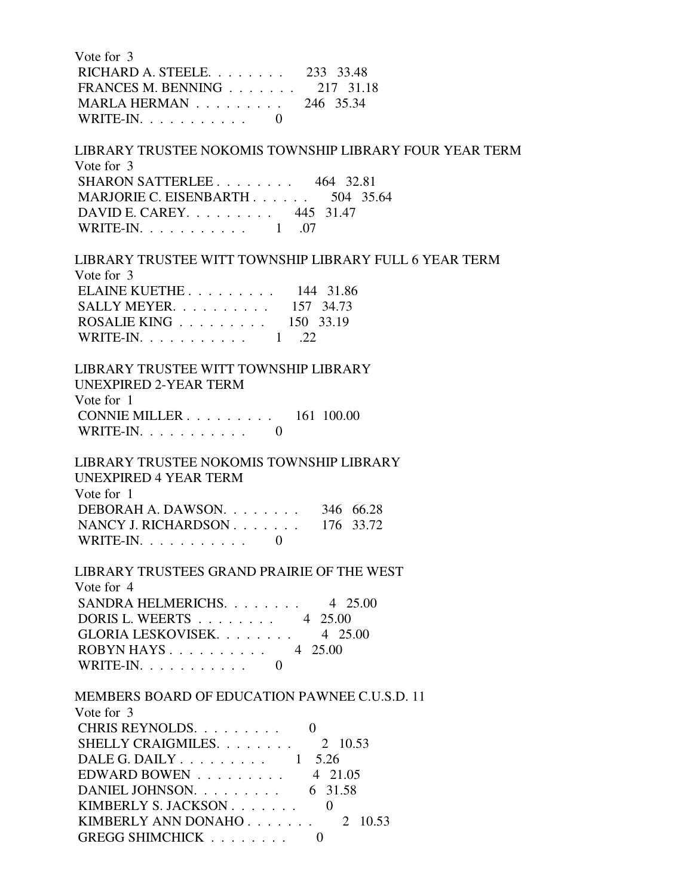Vote for 3 RICHARD A. STEELE. . . . . . . . 233 33.48 FRANCES M. BENNING . . . . . . . 217 31.18 MARLA HERMAN . . . . . . . . . 246 35.34 WRITE-IN. . . . . . . . . . . 0

 LIBRARY TRUSTEE NOKOMIS TOWNSHIP LIBRARY FOUR YEAR TERM Vote for 3 SHARON SATTERLEE . . . . . . . . 464 32.81 MARJORIE C. EISENBARTH . . . . . . 504 35.64 DAVID E. CAREY. . . . . . . . . 445 31.47 WRITE-IN. . . . . . . . . . . . 1 .07

 LIBRARY TRUSTEE WITT TOWNSHIP LIBRARY FULL 6 YEAR TERM Vote for 3 ELAINE KUETHE . . . . . . . . . 144 31.86 SALLY MEYER. . . . . . . . . . 157 34.73 ROSALIE KING . . . . . . . . . 150 33.19 WRITE-IN.  $\ldots$  . . . . . . . . . 1 .22

 LIBRARY TRUSTEE WITT TOWNSHIP LIBRARY UNEXPIRED 2-YEAR TERM

| Vote for 1                 |  |
|----------------------------|--|
| CONNIE MILLER $161$ 100.00 |  |
| WRITE-IN. $\ldots$         |  |

 LIBRARY TRUSTEE NOKOMIS TOWNSHIP LIBRARY UNEXPIRED 4 YEAR TERM Vote for 1 DEBORAH A. DAWSON. . . . . . . . 346 66.28 NANCY J. RICHARDSON . . . . . . . . 176 33.72

WRITE-IN. . . . . . . . . . .  $\qquad \qquad 0$ 

 LIBRARY TRUSTEES GRAND PRAIRIE OF THE WEST Vote for 4 SANDRA HELMERICHS. . . . . . . . 4 25.00 DORIS L. WEERTS . . . . . . . . 4 25.00 GLORIA LESKOVISEK. . . . . . . . 4 25.00 ROBYN HAYS . . . . . . . . . . . 4 25.00

WRITE-IN.  $\ldots$  . . . . . . . . 0

 MEMBERS BOARD OF EDUCATION PAWNEE C.U.S.D. 11 Vote for 3 CHRIS REYNOLDS. . . . . . . . . 0 SHELLY CRAIGMILES. . . . . . . . 2 10.53 DALE G. DAILY . . . . . . . . . . 1 5.26 EDWARD BOWEN . . . . . . . . . 4 21.05 DANIEL JOHNSON. . . . . . . . . . . 6 31.58 KIMBERLY S. JACKSON . . . . . . . . 0 KIMBERLY ANN DONAHO . . . . . . . 2 10.53 GREGG SHIMCHICK . . . . . . . . 0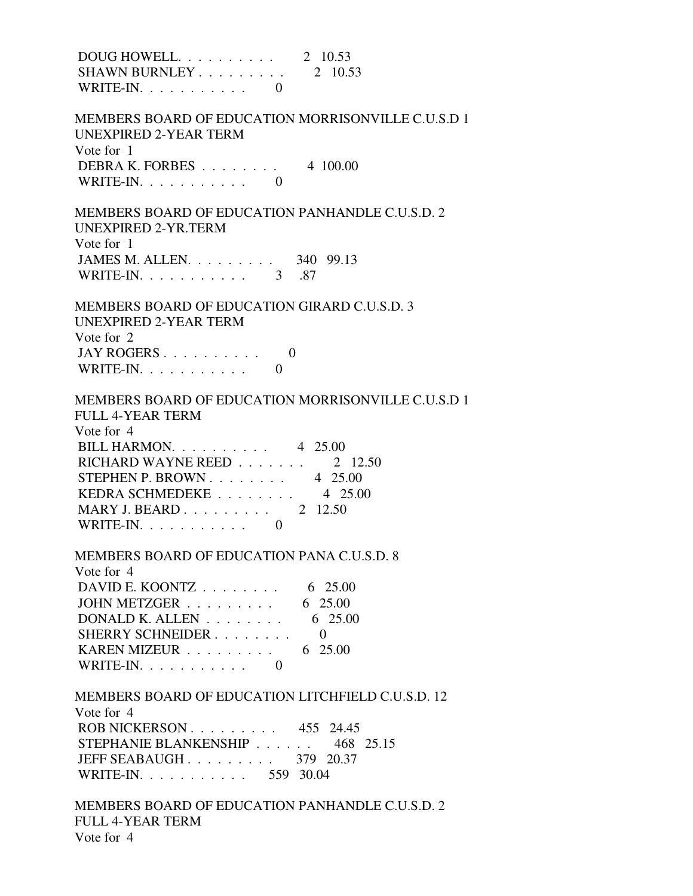| DOUG HOWELL<br>2 10.53<br>SHAWN BURNLEY $\ldots \ldots \ldots$ 2 10.53<br>WRITE-IN. $\ldots$ 0 |  |
|------------------------------------------------------------------------------------------------|--|
| MEMBERS BOARD OF EDUCATION MORRISONVILLE C.U.S.D 1<br><b>UNEXPIRED 2-YEAR TERM</b>             |  |
| Vote for 1<br>DEBRA K. FORBES $\ldots \ldots \ldots$ 4 100.00<br>WRITE-IN. $\ldots$ 0          |  |
| MEMBERS BOARD OF EDUCATION PANHANDLE C.U.S.D. 2<br>UNEXPIRED 2-YR.TERM                         |  |
| Vote for 1                                                                                     |  |
| JAMES M. ALLEN. 340 99.13<br>WRITE-IN. 3 .87                                                   |  |
| MEMBERS BOARD OF EDUCATION GIRARD C.U.S.D. 3<br><b>UNEXPIRED 2-YEAR TERM</b>                   |  |
| Vote for 2                                                                                     |  |
| JAY ROGERS<br>$\theta$                                                                         |  |
| WRITE-IN. $\ldots$<br>$\theta$                                                                 |  |
| MEMBERS BOARD OF EDUCATION MORRISONVILLE C.U.S.D 1<br><b>FULL 4-YEAR TERM</b>                  |  |
| Vote for 4                                                                                     |  |
| BILL HARMON. 4 25.00                                                                           |  |
| RICHARD WAYNE REED<br>2 12.50                                                                  |  |
| STEPHEN P. BROWN 4 25.00                                                                       |  |
| KEDRA SCHMEDEKE 4 25.00                                                                        |  |
| MARY J. BEARD 2 12.50                                                                          |  |
| WRITE-IN. $\ldots$ 0                                                                           |  |
| MEMBERS BOARD OF EDUCATION PANA C.U.S.D. 8<br>Vote for 4                                       |  |
| DAVID E. KOONTZ 6 25.00                                                                        |  |
| JOHN METZGER $\ldots$ 6 25.00                                                                  |  |
| DONALD K. ALLEN $\ldots \ldots \ldots$ 6 25.00                                                 |  |
| SHERRY SCHNEIDER.<br>$\overline{0}$                                                            |  |
| 6 25.00<br>KAREN MIZEUR                                                                        |  |
| WRITE-IN. $\ldots$ 0                                                                           |  |
| MEMBERS BOARD OF EDUCATION LITCHFIELD C.U.S.D. 12                                              |  |
| Vote for 4<br>ROB NICKERSON 455 24.45                                                          |  |
|                                                                                                |  |
|                                                                                                |  |
| STEPHANIE BLANKENSHIP 468 25.15<br>JEFF SEABAUGH 379 20.37                                     |  |

 MEMBERS BOARD OF EDUCATION PANHANDLE C.U.S.D. 2 FULL 4-YEAR TERM Vote for 4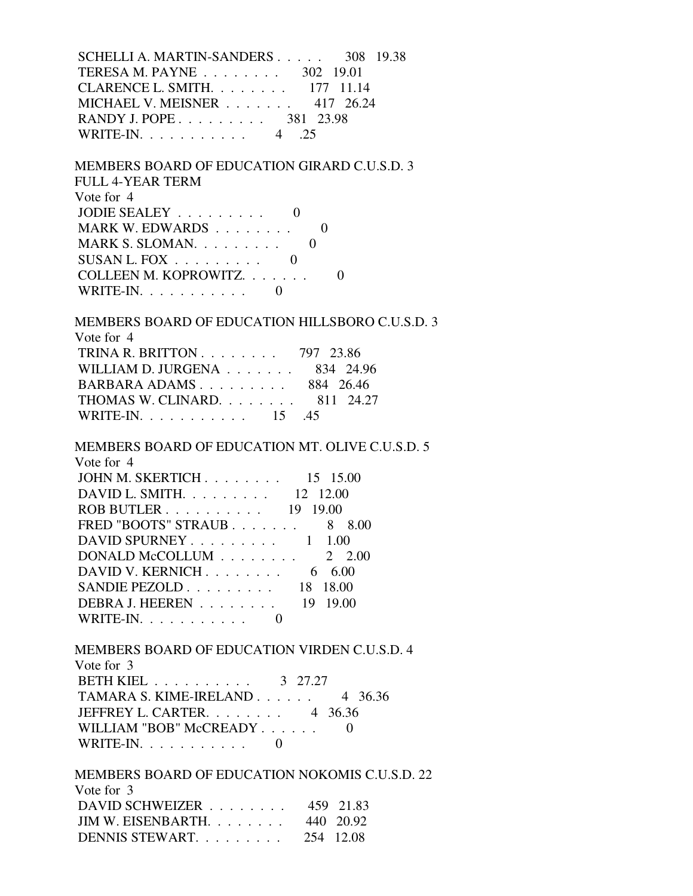SCHELLI A. MARTIN-SANDERS . . . . . 308 19.38 TERESA M. PAYNE . . . . . . . . 302 19.01 CLARENCE L. SMITH. . . . . . . . 177 11.14 MICHAEL V. MEISNER . . . . . . . 417 26.24 RANDY J. POPE . . . . . . . . . . 381 23.98 WRITE-IN.  $\ldots$  . . . . . . . . 4 .25

 MEMBERS BOARD OF EDUCATION GIRARD C.U.S.D. 3 FULL 4-YEAR TERM Vote for 4 JODIE SEALEY . . . . . . . . . 0 MARK W. EDWARDS  $\ldots$ ...... 0 MARK S. SLOMAN.  $\ldots$  . . . . . . . 0 SUSAN L. FOX  $\ldots \ldots \ldots$  0 COLLEEN M. KOPROWITZ. . . . . . . 0 WRITE-IN.  $\ldots$  . . . . . . . . 0

 MEMBERS BOARD OF EDUCATION HILLSBORO C.U.S.D. 3 Vote for 4 TRINA R. BRITTON . . . . . . . . 797 23.86 WILLIAM D. JURGENA . . . . . . . 834 24.96 BARBARA ADAMS . . . . . . . . . 884 26.46 THOMAS W. CLINARD. . . . . . . . 811 24.27 WRITE-IN. . . . . . . . . . . . 15 .45

 MEMBERS BOARD OF EDUCATION MT. OLIVE C.U.S.D. 5 Vote for 4 JOHN M. SKERTICH . . . . . . . . 15 15.00 DAVID L. SMITH. . . . . . . . . 12 12.00

| ROB BUTLER 19 19.00                             |  |
|-------------------------------------------------|--|
| FRED "BOOTS" STRAUB 8 8.00                      |  |
| DAVID SPURNEY 1 1.00                            |  |
| DONALD McCOLLUM $\ldots \ldots \ldots$ 2 2.00   |  |
| DAVID V. KERNICH $\ldots \ldots \ldots$ 6 6.00  |  |
| SANDIE PEZOLD $18$ 18.00                        |  |
| DEBRA J. HEEREN $\ldots \ldots \ldots$ 19 19.00 |  |
| WRITE-IN. $\ldots$                              |  |

MEMBERS BOARD OF EDUCATION VIRDEN C.U.S.D. 4

 Vote for 3 BETH KIEL . . . . . . . . . . 3 27.27 TAMARA S. KIME-IRELAND . . . . . . 4 36.36 JEFFREY L. CARTER. . . . . . . . 4 36.36 WILLIAM "BOB" McCREADY . . . . . . 0 WRITE-IN.  $\ldots$  . . . . . . . . 0

DENNIS STEWART. . . . . . . . . 254 12.08

 MEMBERS BOARD OF EDUCATION NOKOMIS C.U.S.D. 22 Vote for 3 DAVID SCHWEIZER . . . . . . . . 459 21.83 JIM W. EISENBARTH. . . . . . . . 440 20.92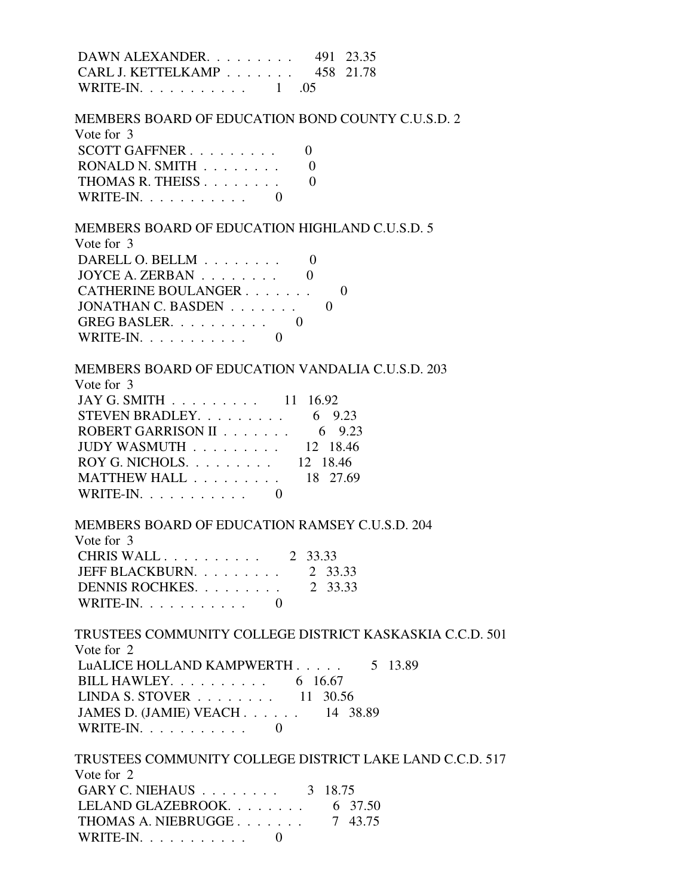| SCOTT GAFFNER<br>$\theta$<br>RONALD N. SMITH<br>$\Omega$<br>THOMAS R. THEISS<br>$\Omega$<br>WRITE-IN. $\ldots$ , $\ldots$<br>$\theta$<br>DARELL O. BELLM $\ldots \ldots$<br>$\Omega$<br>JOYCE A. ZERBAN<br>$\theta$<br>CATHERINE BOULANGER<br>$\Omega$<br>JONATHAN C. BASDEN<br>O<br>GREG BASLER. 0<br>WRITE-IN. $\ldots$ 0<br>MEMBERS BOARD OF EDUCATION VANDALIA C.U.S.D. 203<br>Vote for 3<br>$JAY$ G. SMITH $\ldots \ldots \ldots \ldots$ 11 16.92<br>STEVEN BRADLEY. $\ldots$ 6 9.23<br>ROBERT GARRISON II<br>6 9.23<br>JUDY WASMUTH $\ldots \ldots \ldots 12$ 18.46<br>ROY G. NICHOLS. 12 18.46<br>MATTHEW HALL<br>18 27.69<br>WRITE-IN. $\ldots$<br>$\theta$<br>Vote for 3<br>CHRIS WALL<br>2 33.33<br>JEFF BLACKBURN. 2 33.33<br>DENNIS ROCHKES. 2 33.33<br>WRITE-IN. $\ldots$ 0<br>TRUSTEES COMMUNITY COLLEGE DISTRICT KASKASKIA C.C.D. 501<br>Vote for 2<br>LuALICE HOLLAND KAMPWERTH<br>5 13.89<br>BILL HAWLEY. $\ldots$ 6 16.67<br>LINDA S. STOVER $\ldots \ldots \ldots$ 11 30.56<br>JAMES D. (JAMIE) VEACH 14 38.89<br>$WRITE-IN. \ldots \ldots \ldots$<br>$\Omega$ | MEMBERS BOARD OF EDUCATION BOND COUNTY C.U.S.D. 2<br>Vote for 3<br>MEMBERS BOARD OF EDUCATION HIGHLAND C.U.S.D. 5<br>Vote for 3 |
|-----------------------------------------------------------------------------------------------------------------------------------------------------------------------------------------------------------------------------------------------------------------------------------------------------------------------------------------------------------------------------------------------------------------------------------------------------------------------------------------------------------------------------------------------------------------------------------------------------------------------------------------------------------------------------------------------------------------------------------------------------------------------------------------------------------------------------------------------------------------------------------------------------------------------------------------------------------------------------------------------------------------------------------------------------------------------------------|---------------------------------------------------------------------------------------------------------------------------------|
|                                                                                                                                                                                                                                                                                                                                                                                                                                                                                                                                                                                                                                                                                                                                                                                                                                                                                                                                                                                                                                                                                   |                                                                                                                                 |
|                                                                                                                                                                                                                                                                                                                                                                                                                                                                                                                                                                                                                                                                                                                                                                                                                                                                                                                                                                                                                                                                                   |                                                                                                                                 |
|                                                                                                                                                                                                                                                                                                                                                                                                                                                                                                                                                                                                                                                                                                                                                                                                                                                                                                                                                                                                                                                                                   |                                                                                                                                 |
|                                                                                                                                                                                                                                                                                                                                                                                                                                                                                                                                                                                                                                                                                                                                                                                                                                                                                                                                                                                                                                                                                   |                                                                                                                                 |
|                                                                                                                                                                                                                                                                                                                                                                                                                                                                                                                                                                                                                                                                                                                                                                                                                                                                                                                                                                                                                                                                                   |                                                                                                                                 |
|                                                                                                                                                                                                                                                                                                                                                                                                                                                                                                                                                                                                                                                                                                                                                                                                                                                                                                                                                                                                                                                                                   |                                                                                                                                 |
|                                                                                                                                                                                                                                                                                                                                                                                                                                                                                                                                                                                                                                                                                                                                                                                                                                                                                                                                                                                                                                                                                   |                                                                                                                                 |
|                                                                                                                                                                                                                                                                                                                                                                                                                                                                                                                                                                                                                                                                                                                                                                                                                                                                                                                                                                                                                                                                                   |                                                                                                                                 |
|                                                                                                                                                                                                                                                                                                                                                                                                                                                                                                                                                                                                                                                                                                                                                                                                                                                                                                                                                                                                                                                                                   |                                                                                                                                 |
|                                                                                                                                                                                                                                                                                                                                                                                                                                                                                                                                                                                                                                                                                                                                                                                                                                                                                                                                                                                                                                                                                   |                                                                                                                                 |
|                                                                                                                                                                                                                                                                                                                                                                                                                                                                                                                                                                                                                                                                                                                                                                                                                                                                                                                                                                                                                                                                                   |                                                                                                                                 |
|                                                                                                                                                                                                                                                                                                                                                                                                                                                                                                                                                                                                                                                                                                                                                                                                                                                                                                                                                                                                                                                                                   |                                                                                                                                 |
|                                                                                                                                                                                                                                                                                                                                                                                                                                                                                                                                                                                                                                                                                                                                                                                                                                                                                                                                                                                                                                                                                   |                                                                                                                                 |
|                                                                                                                                                                                                                                                                                                                                                                                                                                                                                                                                                                                                                                                                                                                                                                                                                                                                                                                                                                                                                                                                                   |                                                                                                                                 |
|                                                                                                                                                                                                                                                                                                                                                                                                                                                                                                                                                                                                                                                                                                                                                                                                                                                                                                                                                                                                                                                                                   |                                                                                                                                 |
|                                                                                                                                                                                                                                                                                                                                                                                                                                                                                                                                                                                                                                                                                                                                                                                                                                                                                                                                                                                                                                                                                   |                                                                                                                                 |
|                                                                                                                                                                                                                                                                                                                                                                                                                                                                                                                                                                                                                                                                                                                                                                                                                                                                                                                                                                                                                                                                                   |                                                                                                                                 |
|                                                                                                                                                                                                                                                                                                                                                                                                                                                                                                                                                                                                                                                                                                                                                                                                                                                                                                                                                                                                                                                                                   |                                                                                                                                 |
|                                                                                                                                                                                                                                                                                                                                                                                                                                                                                                                                                                                                                                                                                                                                                                                                                                                                                                                                                                                                                                                                                   |                                                                                                                                 |
|                                                                                                                                                                                                                                                                                                                                                                                                                                                                                                                                                                                                                                                                                                                                                                                                                                                                                                                                                                                                                                                                                   |                                                                                                                                 |
|                                                                                                                                                                                                                                                                                                                                                                                                                                                                                                                                                                                                                                                                                                                                                                                                                                                                                                                                                                                                                                                                                   |                                                                                                                                 |
|                                                                                                                                                                                                                                                                                                                                                                                                                                                                                                                                                                                                                                                                                                                                                                                                                                                                                                                                                                                                                                                                                   | MEMBERS BOARD OF EDUCATION RAMSEY C.U.S.D. 204                                                                                  |
|                                                                                                                                                                                                                                                                                                                                                                                                                                                                                                                                                                                                                                                                                                                                                                                                                                                                                                                                                                                                                                                                                   |                                                                                                                                 |
|                                                                                                                                                                                                                                                                                                                                                                                                                                                                                                                                                                                                                                                                                                                                                                                                                                                                                                                                                                                                                                                                                   |                                                                                                                                 |
|                                                                                                                                                                                                                                                                                                                                                                                                                                                                                                                                                                                                                                                                                                                                                                                                                                                                                                                                                                                                                                                                                   |                                                                                                                                 |
|                                                                                                                                                                                                                                                                                                                                                                                                                                                                                                                                                                                                                                                                                                                                                                                                                                                                                                                                                                                                                                                                                   |                                                                                                                                 |
|                                                                                                                                                                                                                                                                                                                                                                                                                                                                                                                                                                                                                                                                                                                                                                                                                                                                                                                                                                                                                                                                                   |                                                                                                                                 |
|                                                                                                                                                                                                                                                                                                                                                                                                                                                                                                                                                                                                                                                                                                                                                                                                                                                                                                                                                                                                                                                                                   |                                                                                                                                 |
|                                                                                                                                                                                                                                                                                                                                                                                                                                                                                                                                                                                                                                                                                                                                                                                                                                                                                                                                                                                                                                                                                   |                                                                                                                                 |
|                                                                                                                                                                                                                                                                                                                                                                                                                                                                                                                                                                                                                                                                                                                                                                                                                                                                                                                                                                                                                                                                                   |                                                                                                                                 |
|                                                                                                                                                                                                                                                                                                                                                                                                                                                                                                                                                                                                                                                                                                                                                                                                                                                                                                                                                                                                                                                                                   |                                                                                                                                 |
|                                                                                                                                                                                                                                                                                                                                                                                                                                                                                                                                                                                                                                                                                                                                                                                                                                                                                                                                                                                                                                                                                   |                                                                                                                                 |
|                                                                                                                                                                                                                                                                                                                                                                                                                                                                                                                                                                                                                                                                                                                                                                                                                                                                                                                                                                                                                                                                                   |                                                                                                                                 |
|                                                                                                                                                                                                                                                                                                                                                                                                                                                                                                                                                                                                                                                                                                                                                                                                                                                                                                                                                                                                                                                                                   |                                                                                                                                 |

| GARY C. NIEHAUS $\ldots \ldots \ldots$ 3 18.75 |  |
|------------------------------------------------|--|
| LELAND GLAZEBROOK $6\quad 37.50$               |  |
| THOMAS A. NIEBRUGGE $7\quad 43.75$             |  |
| WRITE-IN. $\ldots$                             |  |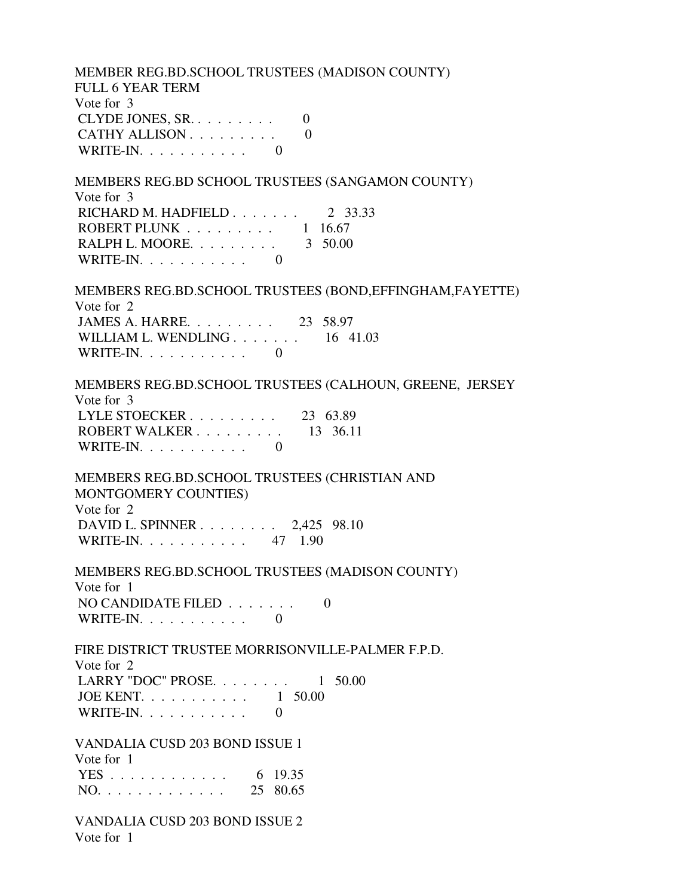MEMBER REG.BD.SCHOOL TRUSTEES (MADISON COUNTY) FULL 6 YEAR TERM Vote for 3 CLYDE JONES, SR. . . . . . . . . 0 CATHY ALLISON . . . . . . . . . 0 WRITE-IN. . . . . . . . . . . 0 MEMBERS REG.BD SCHOOL TRUSTEES (SANGAMON COUNTY) Vote for 3 RICHARD M. HADFIELD . . . . . . . 2 33.33 ROBERT PLUNK . . . . . . . . . 1 16.67 RALPH L. MOORE. . . . . . . . . 3 50.00 WRITE-IN.  $\ldots$  . . . . . . . . 0 MEMBERS REG.BD.SCHOOL TRUSTEES (BOND,EFFINGHAM,FAYETTE) Vote for 2 JAMES A. HARRE. . . . . . . . . 23 58.97 WILLIAM L. WENDLING . . . . . . . 16 41.03 WRITE-IN.  $\ldots$  . . . . . . . . 0 MEMBERS REG.BD.SCHOOL TRUSTEES (CALHOUN, GREENE, JERSEY Vote for 3 LYLE STOECKER . . . . . . . . . 23 63.89 ROBERT WALKER . . . . . . . . . 13 36.11 WRITE-IN.  $\ldots$  . . . . . . . . 0 MEMBERS REG.BD.SCHOOL TRUSTEES (CHRISTIAN AND MONTGOMERY COUNTIES) Vote for 2 DAVID L. SPINNER . . . . . . . . 2,425 98.10 WRITE-IN. . . . . . . . . . . 47 1.90 MEMBERS REG.BD.SCHOOL TRUSTEES (MADISON COUNTY) Vote for 1 NO CANDIDATE FILED . . . . . . . 0 WRITE-IN. . . . . . . . . . . 0 FIRE DISTRICT TRUSTEE MORRISONVILLE-PALMER F.P.D. Vote for 2 LARRY "DOC" PROSE. . . . . . . . . 1 50.00 JOE KENT. . . . . . . . . . . 1 50.00 WRITE-IN.  $\ldots$  . . . . . . . . 0 VANDALIA CUSD 203 BOND ISSUE 1 Vote for 1 YES . . . . . . . . . . . . 6 19.35 NO. . . . . . . . . . . . . 25 80.65 VANDALIA CUSD 203 BOND ISSUE 2 Vote for 1